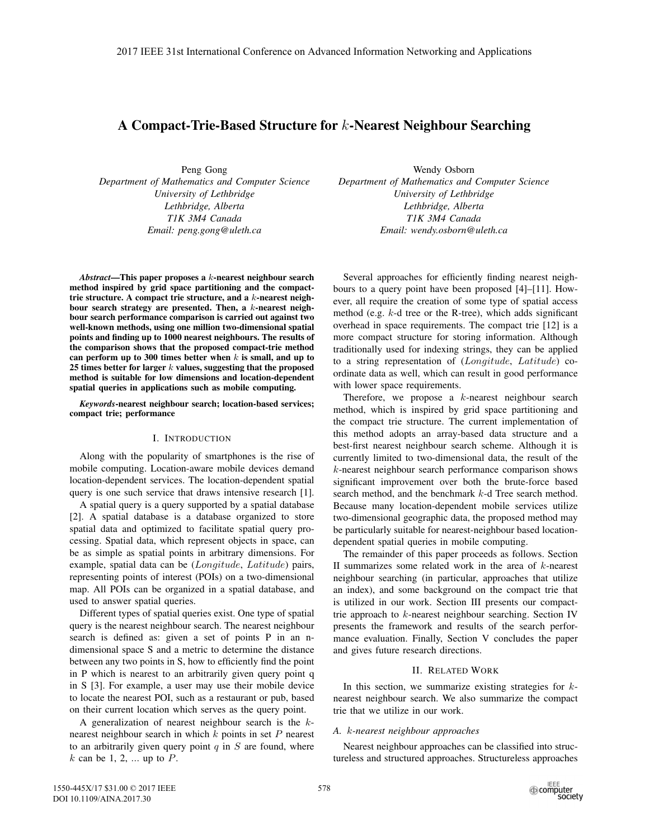# A Compact-Trie-Based Structure for k-Nearest Neighbour Searching

Peng Gong *Department of Mathematics and Computer Science University of Lethbridge Lethbridge, Alberta T1K 3M4 Canada Email: peng.gong@uleth.ca*

*Abstract*—This paper proposes a k-nearest neighbour search method inspired by grid space partitioning and the compacttrie structure. A compact trie structure, and a k-nearest neighbour search strategy are presented. Then, a k-nearest neighbour search performance comparison is carried out against two well-known methods, using one million two-dimensional spatial points and finding up to 1000 nearest neighbours. The results of the comparison shows that the proposed compact-trie method can perform up to 300 times better when  $k$  is small, and up to 25 times better for larger  $k$  values, suggesting that the proposed method is suitable for low dimensions and location-dependent spatial queries in applications such as mobile computing.

*Keywords*-nearest neighbour search; location-based services; compact trie; performance

## I. INTRODUCTION

Along with the popularity of smartphones is the rise of mobile computing. Location-aware mobile devices demand location-dependent services. The location-dependent spatial query is one such service that draws intensive research [1].

A spatial query is a query supported by a spatial database [2]. A spatial database is a database organized to store spatial data and optimized to facilitate spatial query processing. Spatial data, which represent objects in space, can be as simple as spatial points in arbitrary dimensions. For example, spatial data can be (Longitude, Latitude) pairs, representing points of interest (POIs) on a two-dimensional map. All POIs can be organized in a spatial database, and used to answer spatial queries.

Different types of spatial queries exist. One type of spatial query is the nearest neighbour search. The nearest neighbour search is defined as: given a set of points P in an ndimensional space S and a metric to determine the distance between any two points in S, how to efficiently find the point in P which is nearest to an arbitrarily given query point q in S [3]. For example, a user may use their mobile device to locate the nearest POI, such as a restaurant or pub, based on their current location which serves as the query point.

A generalization of nearest neighbour search is the  $k$ nearest neighbour search in which  $k$  points in set  $P$  nearest to an arbitrarily given query point  $q$  in  $S$  are found, where  $k$  can be 1, 2, ... up to  $P$ .

Wendy Osborn *Department of Mathematics and Computer Science University of Lethbridge Lethbridge, Alberta T1K 3M4 Canada Email: wendy.osborn@uleth.ca*

Several approaches for efficiently finding nearest neighbours to a query point have been proposed [4]–[11]. However, all require the creation of some type of spatial access method (e.g.  $k$ -d tree or the R-tree), which adds significant overhead in space requirements. The compact trie [12] is a more compact structure for storing information. Although traditionally used for indexing strings, they can be applied to a string representation of (Longitude, Latitude) coordinate data as well, which can result in good performance with lower space requirements.

Therefore, we propose a  $k$ -nearest neighbour search method, which is inspired by grid space partitioning and the compact trie structure. The current implementation of this method adopts an array-based data structure and a best-first nearest neighbour search scheme. Although it is currently limited to two-dimensional data, the result of the k-nearest neighbour search performance comparison shows significant improvement over both the brute-force based search method, and the benchmark k-d Tree search method. Because many location-dependent mobile services utilize two-dimensional geographic data, the proposed method may be particularly suitable for nearest-neighbour based locationdependent spatial queries in mobile computing.

The remainder of this paper proceeds as follows. Section II summarizes some related work in the area of  $k$ -nearest neighbour searching (in particular, approaches that utilize an index), and some background on the compact trie that is utilized in our work. Section III presents our compacttrie approach to k-nearest neighbour searching. Section IV presents the framework and results of the search performance evaluation. Finally, Section V concludes the paper and gives future research directions.

## II. RELATED WORK

In this section, we summarize existing strategies for  $k$ nearest neighbour search. We also summarize the compact trie that we utilize in our work.

## *A.* k*-nearest neighbour approaches*

Nearest neighbour approaches can be classified into structureless and structured approaches. Structureless approaches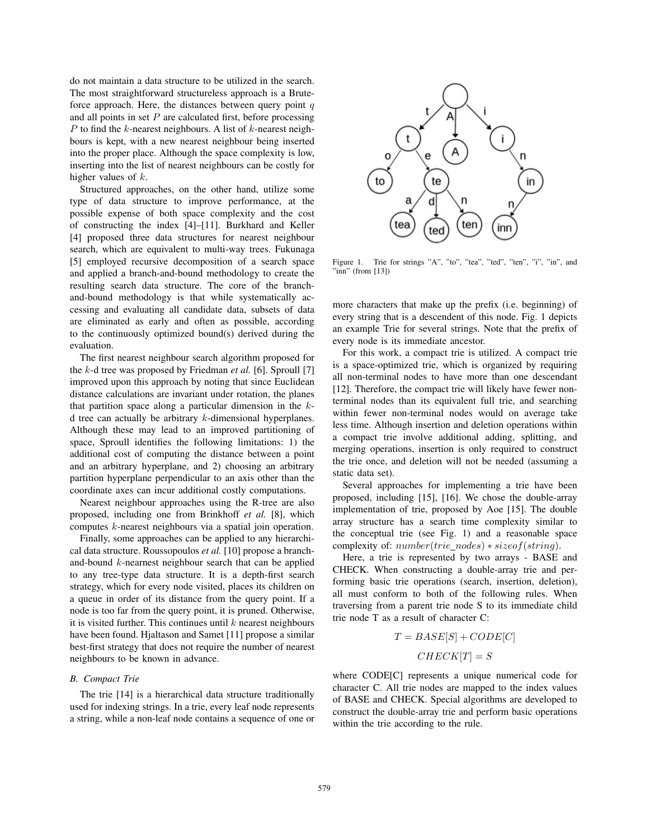do not maintain a data structure to be utilized in the search. The most straightforward structureless approach is a Bruteforce approach. Here, the distances between query point  $q$ and all points in set  $P$  are calculated first, before processing P to find the  $k$ -nearest neighbours. A list of  $k$ -nearest neighbours is kept, with a new nearest neighbour being inserted into the proper place. Although the space complexity is low, inserting into the list of nearest neighbours can be costly for higher values of  $k$ .

Structured approaches, on the other hand, utilize some type of data structure to improve performance, at the possible expense of both space complexity and the cost of constructing the index [4]–[11]. Burkhard and Keller [4] proposed three data structures for nearest neighbour search, which are equivalent to multi-way trees. Fukunaga [5] employed recursive decomposition of a search space and applied a branch-and-bound methodology to create the resulting search data structure. The core of the branchand-bound methodology is that while systematically accessing and evaluating all candidate data, subsets of data are eliminated as early and often as possible, according to the continuously optimized bound(s) derived during the evaluation.

The first nearest neighbour search algorithm proposed for the k-d tree was proposed by Friedman *et al.* [6]. Sproull [7] improved upon this approach by noting that since Euclidean distance calculations are invariant under rotation, the planes that partition space along a particular dimension in the  $k$ d tree can actually be arbitrary k-dimensional hyperplanes. Although these may lead to an improved partitioning of space, Sproull identifies the following limitations: 1) the additional cost of computing the distance between a point and an arbitrary hyperplane, and 2) choosing an arbitrary partition hyperplane perpendicular to an axis other than the coordinate axes can incur additional costly computations.

Nearest neighbour approaches using the R-tree are also proposed, including one from Brinkhoff *et al.* [8], which computes k-nearest neighbours via a spatial join operation.

Finally, some approaches can be applied to any hierarchical data structure. Roussopoulos *et al.* [10] propose a branchand-bound k-nearnest neighbour search that can be applied to any tree-type data structure. It is a depth-first search strategy, which for every node visited, places its children on a queue in order of its distance from the query point. If a node is too far from the query point, it is pruned. Otherwise, it is visited further. This continues until  $k$  nearest neighbours have been found. Hjaltason and Samet [11] propose a similar best-first strategy that does not require the number of nearest neighbours to be known in advance.

## *B. Compact Trie*

The trie [14] is a hierarchical data structure traditionally used for indexing strings. In a trie, every leaf node represents a string, while a non-leaf node contains a sequence of one or



Figure 1. Trie for strings "A", "to", "tea", "ted", "ten", "i", "in", and  $"inn" (from [13])$ 

more characters that make up the prefix (i.e. beginning) of every string that is a descendent of this node. Fig. 1 depicts an example Trie for several strings. Note that the prefix of every node is its immediate ancestor.

For this work, a compact trie is utilized. A compact trie is a space-optimized trie, which is organized by requiring all non-terminal nodes to have more than one descendant [12]. Therefore, the compact trie will likely have fewer nonterminal nodes than its equivalent full trie, and searching within fewer non-terminal nodes would on average take less time. Although insertion and deletion operations within a compact trie involve additional adding, splitting, and merging operations, insertion is only required to construct the trie once, and deletion will not be needed (assuming a static data set).

Several approaches for implementing a trie have been proposed, including [15], [16]. We chose the double-array implementation of trie, proposed by Aoe [15]. The double array structure has a search time complexity similar to the conceptual trie (see Fig. 1) and a reasonable space complexity of:  $number(trie\_nodes) * sizeof(string)$ .

Here, a trie is represented by two arrays - BASE and CHECK. When constructing a double-array trie and performing basic trie operations (search, insertion, deletion), all must conform to both of the following rules. When traversing from a parent trie node S to its immediate child trie node T as a result of character C:

$$
T = BASE[S] + CODE[C]
$$

$$
CHECK[T] = S
$$

where CODE[C] represents a unique numerical code for character C. All trie nodes are mapped to the index values of BASE and CHECK. Special algorithms are developed to construct the double-array trie and perform basic operations within the trie according to the rule.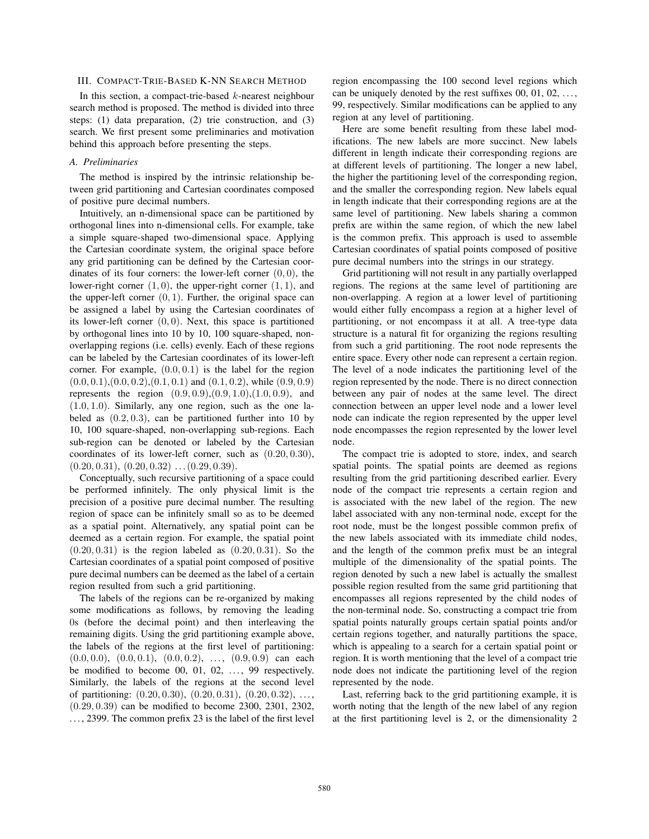# III. COMPACT-TRIE-BASED K-NN SEARCH METHOD

In this section, a compact-trie-based  $k$ -nearest neighbour search method is proposed. The method is divided into three steps: (1) data preparation, (2) trie construction, and (3) search. We first present some preliminaries and motivation behind this approach before presenting the steps.

# *A. Preliminaries*

The method is inspired by the intrinsic relationship between grid partitioning and Cartesian coordinates composed of positive pure decimal numbers.

Intuitively, an n-dimensional space can be partitioned by orthogonal lines into n-dimensional cells. For example, take a simple square-shaped two-dimensional space. Applying the Cartesian coordinate system, the original space before any grid partitioning can be defined by the Cartesian coordinates of its four corners: the lower-left corner  $(0, 0)$ , the lower-right corner  $(1, 0)$ , the upper-right corner  $(1, 1)$ , and the upper-left corner  $(0, 1)$ . Further, the original space can be assigned a label by using the Cartesian coordinates of its lower-left corner  $(0, 0)$ . Next, this space is partitioned by orthogonal lines into 10 by 10, 100 square-shaped, nonoverlapping regions (i.e. cells) evenly. Each of these regions can be labeled by the Cartesian coordinates of its lower-left corner. For example,  $(0.0, 0.1)$  is the label for the region  $(0.0, 0.1), (0.0, 0.2), (0.1, 0.1)$  and  $(0.1, 0.2),$  while  $(0.9, 0.9)$ represents the region  $(0.9, 0.9), (0.9, 1.0), (1.0, 0.9),$  and  $(1.0, 1.0)$ . Similarly, any one region, such as the one labeled as  $(0.2, 0.3)$ , can be partitioned further into 10 by 10, 100 square-shaped, non-overlapping sub-regions. Each sub-region can be denoted or labeled by the Cartesian coordinates of its lower-left corner, such as (0.20, 0.30),  $(0.20, 0.31), (0.20, 0.32), \ldots (0.29, 0.39).$ 

Conceptually, such recursive partitioning of a space could be performed infinitely. The only physical limit is the precision of a positive pure decimal number. The resulting region of space can be infinitely small so as to be deemed as a spatial point. Alternatively, any spatial point can be deemed as a certain region. For example, the spatial point  $(0.20, 0.31)$  is the region labeled as  $(0.20, 0.31)$ . So the Cartesian coordinates of a spatial point composed of positive pure decimal numbers can be deemed as the label of a certain region resulted from such a grid partitioning.

The labels of the regions can be re-organized by making some modifications as follows, by removing the leading 0s (before the decimal point) and then interleaving the remaining digits. Using the grid partitioning example above, the labels of the regions at the first level of partitioning:  $(0.0, 0.0), (0.0, 0.1), (0.0, 0.2), \ldots, (0.9, 0.9)$  can each be modified to become  $00, 01, 02, \ldots, 99$  respectively. Similarly, the labels of the regions at the second level of partitioning: (0.20, 0.30), (0.20, 0.31), (0.20, 0.32), ..., (0.29, 0.39) can be modified to become 2300, 2301, 2302, ..., 2399. The common prefix 23 is the label of the first level

region encompassing the 100 second level regions which can be uniquely denoted by the rest suffixes 00, 01, 02, ..., 99, respectively. Similar modifications can be applied to any region at any level of partitioning.

Here are some benefit resulting from these label modifications. The new labels are more succinct. New labels different in length indicate their corresponding regions are at different levels of partitioning. The longer a new label, the higher the partitioning level of the corresponding region, and the smaller the corresponding region. New labels equal in length indicate that their corresponding regions are at the same level of partitioning. New labels sharing a common prefix are within the same region, of which the new label is the common prefix. This approach is used to assemble Cartesian coordinates of spatial points composed of positive pure decimal numbers into the strings in our strategy.

Grid partitioning will not result in any partially overlapped regions. The regions at the same level of partitioning are non-overlapping. A region at a lower level of partitioning would either fully encompass a region at a higher level of partitioning, or not encompass it at all. A tree-type data structure is a natural fit for organizing the regions resulting from such a grid partitioning. The root node represents the entire space. Every other node can represent a certain region. The level of a node indicates the partitioning level of the region represented by the node. There is no direct connection between any pair of nodes at the same level. The direct connection between an upper level node and a lower level node can indicate the region represented by the upper level node encompasses the region represented by the lower level node.

The compact trie is adopted to store, index, and search spatial points. The spatial points are deemed as regions resulting from the grid partitioning described earlier. Every node of the compact trie represents a certain region and is associated with the new label of the region. The new label associated with any non-terminal node, except for the root node, must be the longest possible common prefix of the new labels associated with its immediate child nodes, and the length of the common prefix must be an integral multiple of the dimensionality of the spatial points. The region denoted by such a new label is actually the smallest possible region resulted from the same grid partitioning that encompasses all regions represented by the child nodes of the non-terminal node. So, constructing a compact trie from spatial points naturally groups certain spatial points and/or certain regions together, and naturally partitions the space, which is appealing to a search for a certain spatial point or region. It is worth mentioning that the level of a compact trie node does not indicate the partitioning level of the region represented by the node.

Last, referring back to the grid partitioning example, it is worth noting that the length of the new label of any region at the first partitioning level is 2, or the dimensionality 2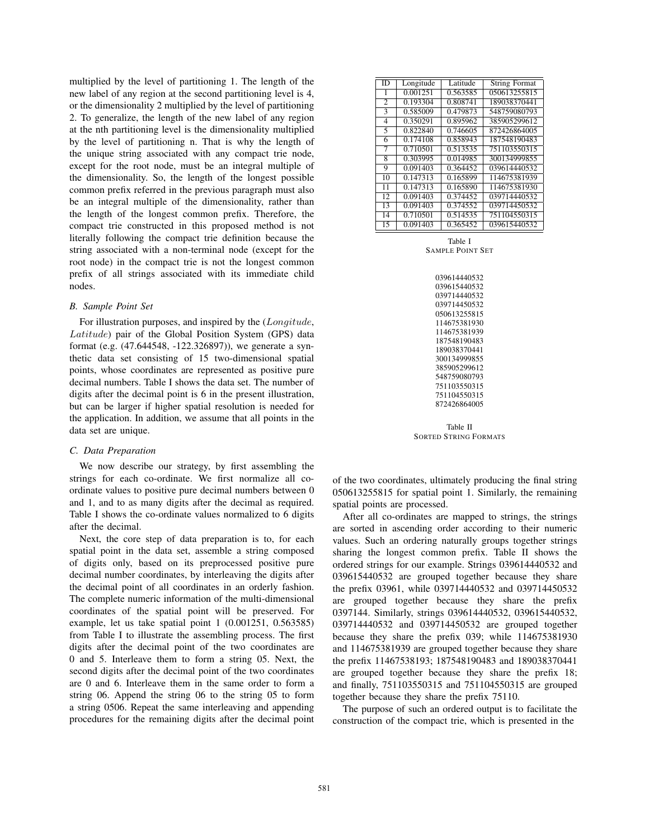multiplied by the level of partitioning 1. The length of the new label of any region at the second partitioning level is 4, or the dimensionality 2 multiplied by the level of partitioning 2. To generalize, the length of the new label of any region at the nth partitioning level is the dimensionality multiplied by the level of partitioning n. That is why the length of the unique string associated with any compact trie node, except for the root node, must be an integral multiple of the dimensionality. So, the length of the longest possible common prefix referred in the previous paragraph must also be an integral multiple of the dimensionality, rather than the length of the longest common prefix. Therefore, the compact trie constructed in this proposed method is not literally following the compact trie definition because the string associated with a non-terminal node (except for the root node) in the compact trie is not the longest common prefix of all strings associated with its immediate child nodes.

## *B. Sample Point Set*

For illustration purposes, and inspired by the (Longitude, Latitude) pair of the Global Position System (GPS) data format (e.g. (47.644548, -122.326897)), we generate a synthetic data set consisting of 15 two-dimensional spatial points, whose coordinates are represented as positive pure decimal numbers. Table I shows the data set. The number of digits after the decimal point is 6 in the present illustration, but can be larger if higher spatial resolution is needed for the application. In addition, we assume that all points in the data set are unique.

## *C. Data Preparation*

We now describe our strategy, by first assembling the strings for each co-ordinate. We first normalize all coordinate values to positive pure decimal numbers between 0 and 1, and to as many digits after the decimal as required. Table I shows the co-ordinate values normalized to 6 digits after the decimal.

Next, the core step of data preparation is to, for each spatial point in the data set, assemble a string composed of digits only, based on its preprocessed positive pure decimal number coordinates, by interleaving the digits after the decimal point of all coordinates in an orderly fashion. The complete numeric information of the multi-dimensional coordinates of the spatial point will be preserved. For example, let us take spatial point 1 (0.001251, 0.563585) from Table I to illustrate the assembling process. The first digits after the decimal point of the two coordinates are 0 and 5. Interleave them to form a string 05. Next, the second digits after the decimal point of the two coordinates are 0 and 6. Interleave them in the same order to form a string 06. Append the string 06 to the string 05 to form a string 0506. Repeat the same interleaving and appending procedures for the remaining digits after the decimal point

| ID             | Longitude | Latitude | String Format |
|----------------|-----------|----------|---------------|
| 1              | 0.001251  | 0.563585 | 050613255815  |
| $\overline{2}$ | 0.193304  | 0.808741 | 189038370441  |
| 3              | 0.585009  | 0.479873 | 548759080793  |
| 4              | 0.350291  | 0.895962 | 385905299612  |
| 5              | 0.822840  | 0.746605 | 872426864005  |
| 6              | 0.174108  | 0.858943 | 187548190483  |
| 7              | 0.710501  | 0.513535 | 751103550315  |
| 8              | 0.303995  | 0.014985 | 300134999855  |
| $\overline{Q}$ | 0.091403  | 0.364452 | 039614440532  |
| 10             | 0.147313  | 0.165899 | 114675381939  |
| 11             | 0.147313  | 0.165890 | 114675381930  |
| 12             | 0.091403  | 0.374452 | 039714440532  |
| 13             | 0.091403  | 0.374552 | 039714450532  |
| 14             | 0.710501  | 0.514535 | 751104550315  |
| 15             | 0.091403  | 0.365452 | 039615440532  |
|                |           |          |               |

Table I SAMPLE POINT SET

Table II SORTED STRING FORMATS

of the two coordinates, ultimately producing the final string 050613255815 for spatial point 1. Similarly, the remaining spatial points are processed.

After all co-ordinates are mapped to strings, the strings are sorted in ascending order according to their numeric values. Such an ordering naturally groups together strings sharing the longest common prefix. Table II shows the ordered strings for our example. Strings 039614440532 and 039615440532 are grouped together because they share the prefix 03961, while 039714440532 and 039714450532 are grouped together because they share the prefix 0397144. Similarly, strings 039614440532, 039615440532, 039714440532 and 039714450532 are grouped together because they share the prefix 039; while 114675381930 and 114675381939 are grouped together because they share the prefix 11467538193; 187548190483 and 189038370441 are grouped together because they share the prefix 18; and finally, 751103550315 and 751104550315 are grouped together because they share the prefix 75110.

The purpose of such an ordered output is to facilitate the construction of the compact trie, which is presented in the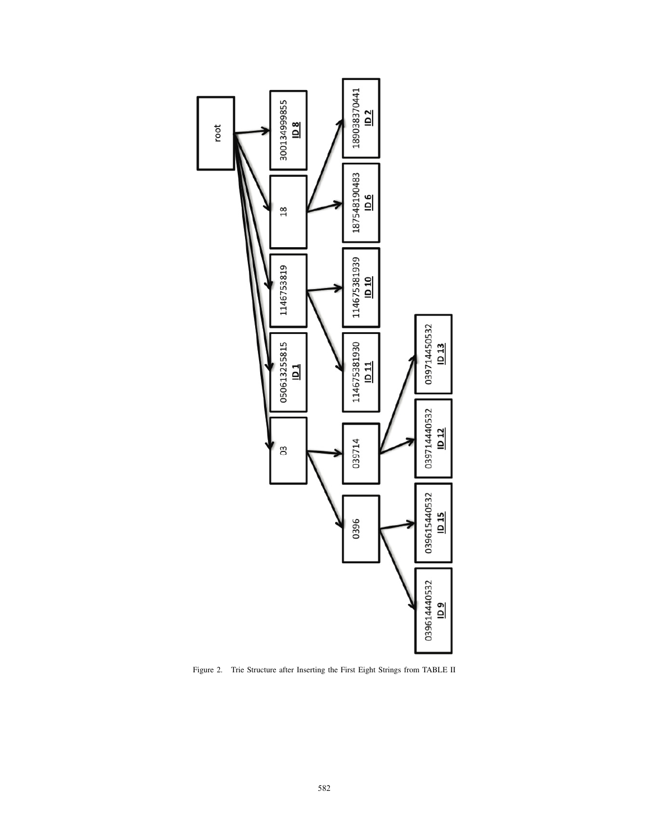

Figure 2. Trie Structure after Inserting the First Eight Strings from TABLE II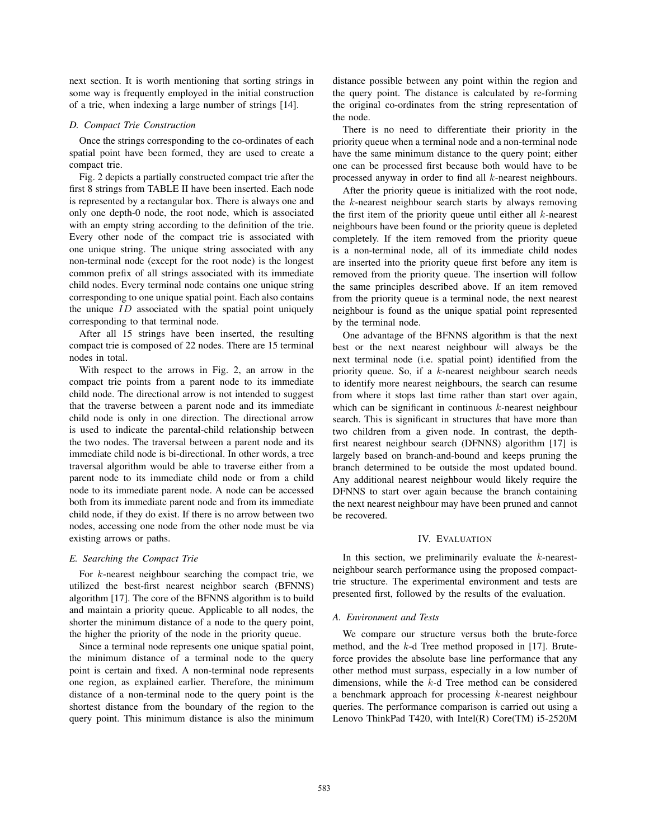next section. It is worth mentioning that sorting strings in some way is frequently employed in the initial construction of a trie, when indexing a large number of strings [14].

## *D. Compact Trie Construction*

Once the strings corresponding to the co-ordinates of each spatial point have been formed, they are used to create a compact trie.

Fig. 2 depicts a partially constructed compact trie after the first 8 strings from TABLE II have been inserted. Each node is represented by a rectangular box. There is always one and only one depth-0 node, the root node, which is associated with an empty string according to the definition of the trie. Every other node of the compact trie is associated with one unique string. The unique string associated with any non-terminal node (except for the root node) is the longest common prefix of all strings associated with its immediate child nodes. Every terminal node contains one unique string corresponding to one unique spatial point. Each also contains the unique  $ID$  associated with the spatial point uniquely corresponding to that terminal node.

After all 15 strings have been inserted, the resulting compact trie is composed of 22 nodes. There are 15 terminal nodes in total.

With respect to the arrows in Fig. 2, an arrow in the compact trie points from a parent node to its immediate child node. The directional arrow is not intended to suggest that the traverse between a parent node and its immediate child node is only in one direction. The directional arrow is used to indicate the parental-child relationship between the two nodes. The traversal between a parent node and its immediate child node is bi-directional. In other words, a tree traversal algorithm would be able to traverse either from a parent node to its immediate child node or from a child node to its immediate parent node. A node can be accessed both from its immediate parent node and from its immediate child node, if they do exist. If there is no arrow between two nodes, accessing one node from the other node must be via existing arrows or paths.

# *E. Searching the Compact Trie*

For  $k$ -nearest neighbour searching the compact trie, we utilized the best-first nearest neighbor search (BFNNS) algorithm [17]. The core of the BFNNS algorithm is to build and maintain a priority queue. Applicable to all nodes, the shorter the minimum distance of a node to the query point, the higher the priority of the node in the priority queue.

Since a terminal node represents one unique spatial point, the minimum distance of a terminal node to the query point is certain and fixed. A non-terminal node represents one region, as explained earlier. Therefore, the minimum distance of a non-terminal node to the query point is the shortest distance from the boundary of the region to the query point. This minimum distance is also the minimum

distance possible between any point within the region and the query point. The distance is calculated by re-forming the original co-ordinates from the string representation of the node.

There is no need to differentiate their priority in the priority queue when a terminal node and a non-terminal node have the same minimum distance to the query point; either one can be processed first because both would have to be processed anyway in order to find all k-nearest neighbours.

After the priority queue is initialized with the root node, the  $k$ -nearest neighbour search starts by always removing the first item of the priority queue until either all  $k$ -nearest neighbours have been found or the priority queue is depleted completely. If the item removed from the priority queue is a non-terminal node, all of its immediate child nodes are inserted into the priority queue first before any item is removed from the priority queue. The insertion will follow the same principles described above. If an item removed from the priority queue is a terminal node, the next nearest neighbour is found as the unique spatial point represented by the terminal node.

One advantage of the BFNNS algorithm is that the next best or the next nearest neighbour will always be the next terminal node (i.e. spatial point) identified from the priority queue. So, if a  $k$ -nearest neighbour search needs to identify more nearest neighbours, the search can resume from where it stops last time rather than start over again, which can be significant in continuous  $k$ -nearest neighbour search. This is significant in structures that have more than two children from a given node. In contrast, the depthfirst nearest neighbour search (DFNNS) algorithm [17] is largely based on branch-and-bound and keeps pruning the branch determined to be outside the most updated bound. Any additional nearest neighbour would likely require the DFNNS to start over again because the branch containing the next nearest neighbour may have been pruned and cannot be recovered.

## IV. EVALUATION

In this section, we preliminarily evaluate the  $k$ -nearestneighbour search performance using the proposed compacttrie structure. The experimental environment and tests are presented first, followed by the results of the evaluation.

## *A. Environment and Tests*

We compare our structure versus both the brute-force method, and the k-d Tree method proposed in [17]. Bruteforce provides the absolute base line performance that any other method must surpass, especially in a low number of dimensions, while the k-d Tree method can be considered a benchmark approach for processing  $k$ -nearest neighbour queries. The performance comparison is carried out using a Lenovo ThinkPad T420, with Intel(R) Core(TM) i5-2520M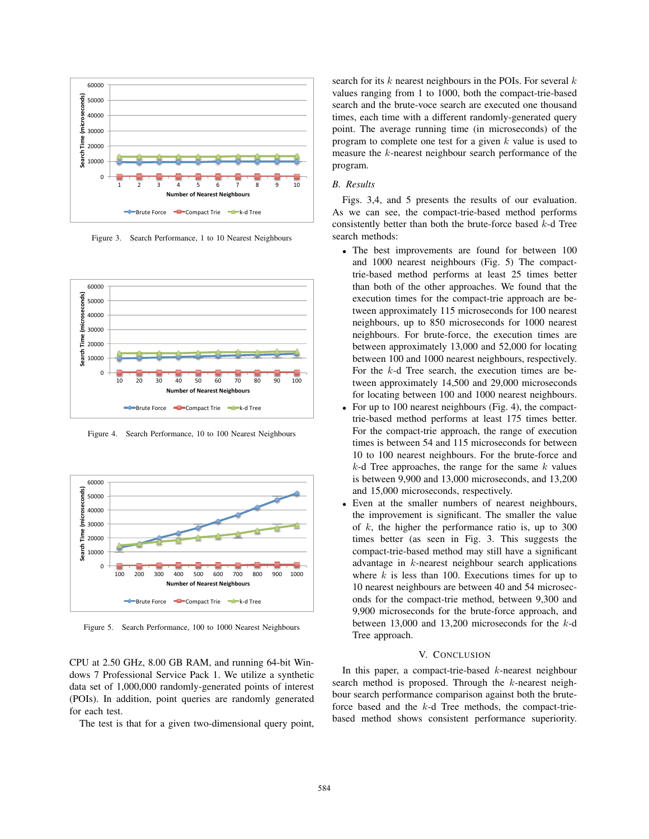

Figure 3. Search Performance, 1 to 10 Nearest Neighbours



Figure 4. Search Performance, 10 to 100 Nearest Neighbours



Figure 5. Search Performance, 100 to 1000 Nearest Neighbours

CPU at 2.50 GHz, 8.00 GB RAM, and running 64-bit Windows 7 Professional Service Pack 1. We utilize a synthetic data set of 1,000,000 randomly-generated points of interest (POIs). In addition, point queries are randomly generated for each test.

The test is that for a given two-dimensional query point,

search for its  $k$  nearest neighbours in the POIs. For several  $k$ values ranging from 1 to 1000, both the compact-trie-based search and the brute-voce search are executed one thousand times, each time with a different randomly-generated query point. The average running time (in microseconds) of the program to complete one test for a given  $k$  value is used to measure the k-nearest neighbour search performance of the program.

## *B. Results*

Figs. 3,4, and 5 presents the results of our evaluation. As we can see, the compact-trie-based method performs consistently better than both the brute-force based  $k$ -d Tree search methods:

- The best improvements are found for between 100 and 1000 nearest neighbours (Fig. 5) The compacttrie-based method performs at least 25 times better than both of the other approaches. We found that the execution times for the compact-trie approach are between approximately 115 microseconds for 100 nearest neighbours, up to 850 microseconds for 1000 nearest neighbours. For brute-force, the execution times are between approximately 13,000 and 52,000 for locating between 100 and 1000 nearest neighbours, respectively. For the k-d Tree search, the execution times are between approximately 14,500 and 29,000 microseconds for locating between 100 and 1000 nearest neighbours.
- For up to 100 nearest neighbours (Fig. 4), the compacttrie-based method performs at least 175 times better. For the compact-trie approach, the range of execution times is between 54 and 115 microseconds for between 10 to 100 nearest neighbours. For the brute-force and  $k$ -d Tree approaches, the range for the same  $k$  values is between 9,900 and 13,000 microseconds, and 13,200 and 15,000 microseconds, respectively.
- Even at the smaller numbers of nearest neighbours, the improvement is significant. The smaller the value of  $k$ , the higher the performance ratio is, up to 300 times better (as seen in Fig. 3. This suggests the compact-trie-based method may still have a significant advantage in k-nearest neighbour search applications where  $k$  is less than 100. Executions times for up to 10 nearest neighbours are between 40 and 54 microseconds for the compact-trie method, between 9,300 and 9,900 microseconds for the brute-force approach, and between  $13,000$  and  $13,200$  microseconds for the  $k$ -d Tree approach.

## V. CONCLUSION

In this paper, a compact-trie-based  $k$ -nearest neighbour search method is proposed. Through the k-nearest neighbour search performance comparison against both the bruteforce based and the k-d Tree methods, the compact-triebased method shows consistent performance superiority.